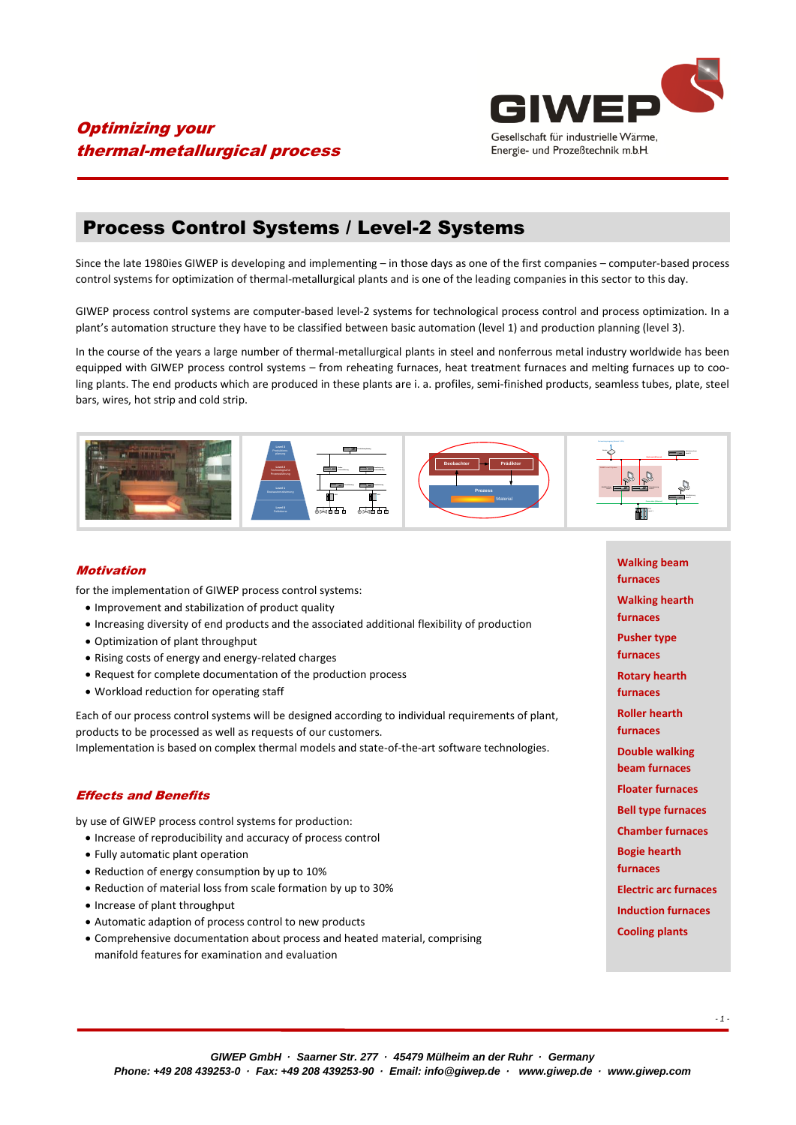

## Optimizing your thermal-metallurgical process

# Process Control Systems / Level-2 Systems

Since the late 1980ies GIWEP is developing and implementing – in those days as one of the first companies – computer-based process control systems for optimization of thermal-metallurgical plants and is one of the leading companies in this sector to this day.

GIWEP process control systems are computer-based level-2 systems for technological process control and process optimization. In a plant's automation structure they have to be classified between basic automation (level 1) and production planning (level 3).

In the course of the years a large number of thermal-metallurgical plants in steel and nonferrous metal industry worldwide has been equipped with GIWEP process control systems – from reheating furnaces, heat treatment furnaces and melting furnaces up to cooling plants. The end products which are produced in these plants are i. a. profiles, semi-finished products, seamless tubes, plate, steel bars, wires, hot strip and cold strip.



### Motivation

for the implementation of GIWEP process control systems:

- Improvement and stabilization of product quality
- Increasing diversity of end products and the associated additional flexibility of production
- Optimization of plant throughput
- Rising costs of energy and energy-related charges
- Request for complete documentation of the production process
- Workload reduction for operating staff

Each of our process control systems will be designed according to individual requirements of plant, products to be processed as well as requests of our customers. Implementation is based on complex thermal models and state-of-the-art software technologies.

### Effects and Benefits

by use of GIWEP process control systems for production:

- Increase of reproducibility and accuracy of process control
- Fully automatic plant operation
- Reduction of energy consumption by up to 10%
- Reduction of material loss from scale formation by up to 30%
- Increase of plant throughput
- Automatic adaption of process control to new products
- Comprehensive documentation about process and heated material, comprising manifold features for examination and evaluation

**Walking beam furnaces Walking hearth furnaces Pusher type furnaces Rotary hearth furnaces Roller hearth furnaces Double walking beam furnaces Floater furnaces Bell type furnaces Chamber furnaces Bogie hearth furnaces Electric arc furnaces Induction furnaces Cooling plants**